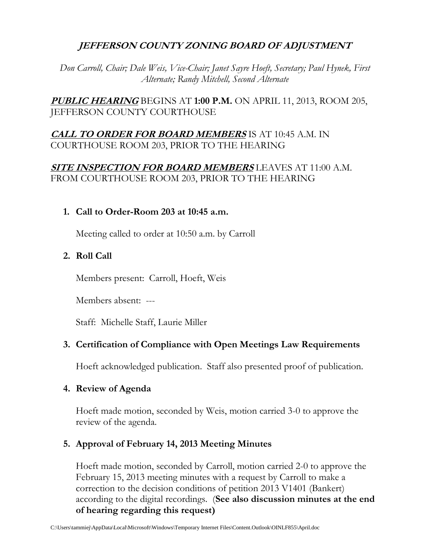# **JEFFERSON COUNTY ZONING BOARD OF ADJUSTMENT**

*Don Carroll, Chair; Dale Weis, Vice-Chair; Janet Sayre Hoeft, Secretary; Paul Hynek, First Alternate; Randy Mitchell, Second Alternate*

**PUBLIC HEARING** BEGINS AT **1:00 P.M.** ON APRIL 11, 2013, ROOM 205, JEFFERSON COUNTY COURTHOUSE

# **CALL TO ORDER FOR BOARD MEMBERS** IS AT 10:45 A.M. IN COURTHOUSE ROOM 203, PRIOR TO THE HEARING

## **SITE INSPECTION FOR BOARD MEMBERS** LEAVES AT 11:00 A.M. FROM COURTHOUSE ROOM 203, PRIOR TO THE HEARING

#### **1. Call to Order-Room 203 at 10:45 a.m.**

Meeting called to order at 10:50 a.m. by Carroll

# **2. Roll Call**

Members present: Carroll, Hoeft, Weis

Members absent: ---

Staff: Michelle Staff, Laurie Miller

### **3. Certification of Compliance with Open Meetings Law Requirements**

Hoeft acknowledged publication. Staff also presented proof of publication.

### **4. Review of Agenda**

Hoeft made motion, seconded by Weis, motion carried 3-0 to approve the review of the agenda.

### **5. Approval of February 14, 2013 Meeting Minutes**

Hoeft made motion, seconded by Carroll, motion carried 2-0 to approve the February 15, 2013 meeting minutes with a request by Carroll to make a correction to the decision conditions of petition 2013 V1401 (Bankert) according to the digital recordings. (**See also discussion minutes at the end of hearing regarding this request)**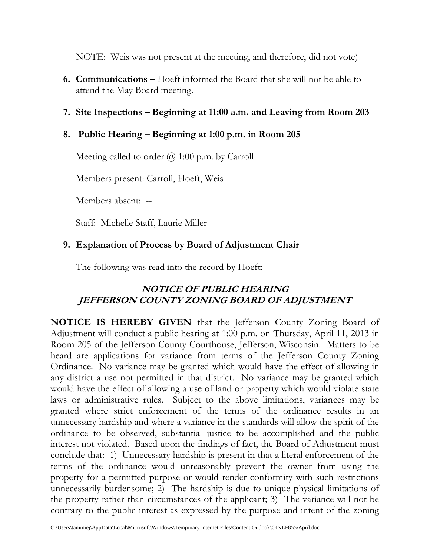NOTE: Weis was not present at the meeting, and therefore, did not vote)

- **6. Communications –** Hoeft informed the Board that she will not be able to attend the May Board meeting.
- **7. Site Inspections – Beginning at 11:00 a.m. and Leaving from Room 203**

# **8. Public Hearing – Beginning at 1:00 p.m. in Room 205**

Meeting called to order  $\omega$  1:00 p.m. by Carroll

Members present: Carroll, Hoeft, Weis

Members absent: --

Staff: Michelle Staff, Laurie Miller

# **9. Explanation of Process by Board of Adjustment Chair**

The following was read into the record by Hoeft:

# **NOTICE OF PUBLIC HEARING JEFFERSON COUNTY ZONING BOARD OF ADJUSTMENT**

**NOTICE IS HEREBY GIVEN** that the Jefferson County Zoning Board of Adjustment will conduct a public hearing at 1:00 p.m. on Thursday, April 11, 2013 in Room 205 of the Jefferson County Courthouse, Jefferson, Wisconsin. Matters to be heard are applications for variance from terms of the Jefferson County Zoning Ordinance. No variance may be granted which would have the effect of allowing in any district a use not permitted in that district. No variance may be granted which would have the effect of allowing a use of land or property which would violate state laws or administrative rules. Subject to the above limitations, variances may be granted where strict enforcement of the terms of the ordinance results in an unnecessary hardship and where a variance in the standards will allow the spirit of the ordinance to be observed, substantial justice to be accomplished and the public interest not violated. Based upon the findings of fact, the Board of Adjustment must conclude that: 1) Unnecessary hardship is present in that a literal enforcement of the terms of the ordinance would unreasonably prevent the owner from using the property for a permitted purpose or would render conformity with such restrictions unnecessarily burdensome; 2) The hardship is due to unique physical limitations of the property rather than circumstances of the applicant; 3) The variance will not be contrary to the public interest as expressed by the purpose and intent of the zoning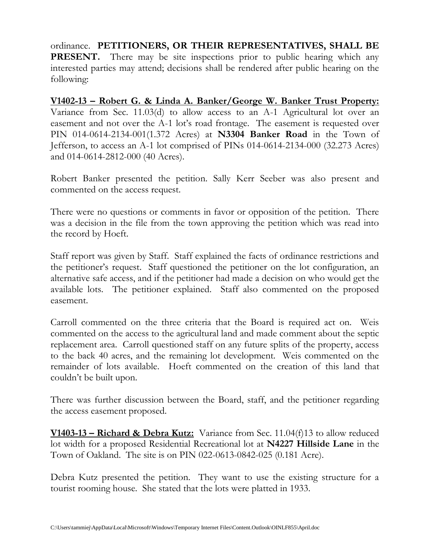ordinance. **PETITIONERS, OR THEIR REPRESENTATIVES, SHALL BE PRESENT.** There may be site inspections prior to public hearing which any interested parties may attend; decisions shall be rendered after public hearing on the following:

**V1402-13 – Robert G. & Linda A. Banker/George W. Banker Trust Property:** Variance from Sec. 11.03(d) to allow access to an A-1 Agricultural lot over an easement and not over the A-1 lot's road frontage. The easement is requested over PIN 014-0614-2134-001(1.372 Acres) at **N3304 Banker Road** in the Town of Jefferson, to access an A-1 lot comprised of PINs 014-0614-2134-000 (32.273 Acres) and 014-0614-2812-000 (40 Acres).

Robert Banker presented the petition. Sally Kerr Seeber was also present and commented on the access request.

There were no questions or comments in favor or opposition of the petition. There was a decision in the file from the town approving the petition which was read into the record by Hoeft.

Staff report was given by Staff. Staff explained the facts of ordinance restrictions and the petitioner's request. Staff questioned the petitioner on the lot configuration, an alternative safe access, and if the petitioner had made a decision on who would get the available lots. The petitioner explained. Staff also commented on the proposed easement.

Carroll commented on the three criteria that the Board is required act on. Weis commented on the access to the agricultural land and made comment about the septic replacement area. Carroll questioned staff on any future splits of the property, access to the back 40 acres, and the remaining lot development. Weis commented on the remainder of lots available. Hoeft commented on the creation of this land that couldn't be built upon.

There was further discussion between the Board, staff, and the petitioner regarding the access easement proposed.

**V1403-13 – Richard & Debra Kutz:** Variance from Sec. 11.04(f)13 to allow reduced lot width for a proposed Residential Recreational lot at **N4227 Hillside Lane** in the Town of Oakland. The site is on PIN 022-0613-0842-025 (0.181 Acre).

Debra Kutz presented the petition. They want to use the existing structure for a tourist rooming house. She stated that the lots were platted in 1933.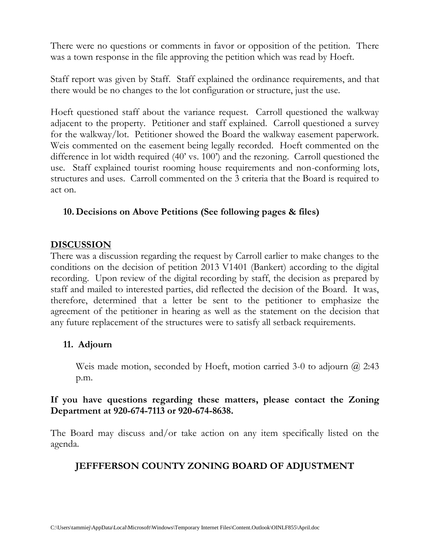There were no questions or comments in favor or opposition of the petition. There was a town response in the file approving the petition which was read by Hoeft.

Staff report was given by Staff. Staff explained the ordinance requirements, and that there would be no changes to the lot configuration or structure, just the use.

Hoeft questioned staff about the variance request. Carroll questioned the walkway adjacent to the property. Petitioner and staff explained. Carroll questioned a survey for the walkway/lot. Petitioner showed the Board the walkway easement paperwork. Weis commented on the easement being legally recorded. Hoeft commented on the difference in lot width required (40' vs. 100') and the rezoning. Carroll questioned the use. Staff explained tourist rooming house requirements and non-conforming lots, structures and uses. Carroll commented on the 3 criteria that the Board is required to act on.

# **10. Decisions on Above Petitions (See following pages & files)**

#### **DISCUSSION**

There was a discussion regarding the request by Carroll earlier to make changes to the conditions on the decision of petition 2013 V1401 (Bankert) according to the digital recording. Upon review of the digital recording by staff, the decision as prepared by staff and mailed to interested parties, did reflected the decision of the Board. It was, therefore, determined that a letter be sent to the petitioner to emphasize the agreement of the petitioner in hearing as well as the statement on the decision that any future replacement of the structures were to satisfy all setback requirements.

### **11. Adjourn**

Weis made motion, seconded by Hoeft, motion carried 3-0 to adjourn @ 2:43 p.m.

### **If you have questions regarding these matters, please contact the Zoning Department at 920-674-7113 or 920-674-8638.**

The Board may discuss and/or take action on any item specifically listed on the agenda.

# **JEFFFERSON COUNTY ZONING BOARD OF ADJUSTMENT**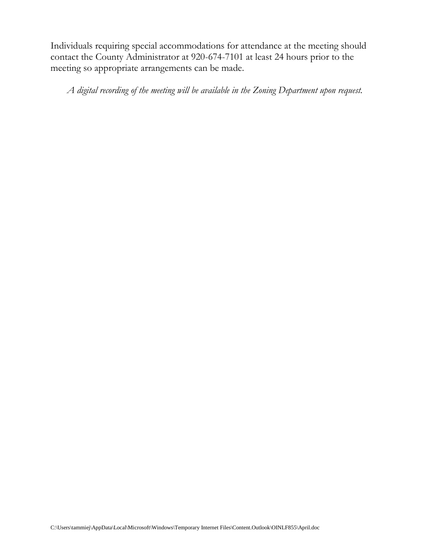Individuals requiring special accommodations for attendance at the meeting should contact the County Administrator at 920-674-7101 at least 24 hours prior to the meeting so appropriate arrangements can be made.

*A digital recording of the meeting will be available in the Zoning Department upon request.*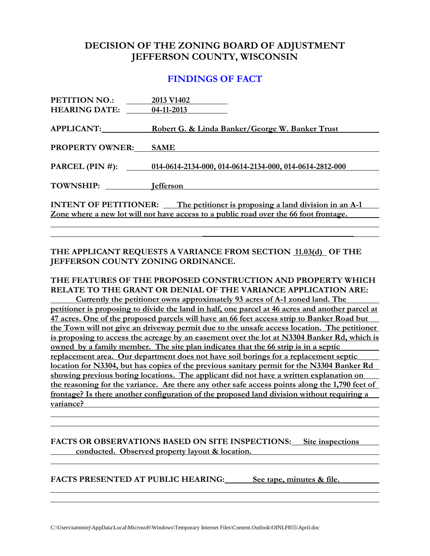#### **DECISION OF THE ZONING BOARD OF ADJUSTMENT JEFFERSON COUNTY, WISCONSIN**

#### **FINDINGS OF FACT**

| PETITION NO.:                | 2013 V1402                                                                            |
|------------------------------|---------------------------------------------------------------------------------------|
| <b>HEARING DATE:</b>         | 04-11-2013                                                                            |
|                              |                                                                                       |
| <b>APPLICANT:</b>            | Robert G. & Linda Banker/George W. Banker Trust                                       |
|                              |                                                                                       |
| <b>PROPERTY OWNER:</b>       | <b>SAME</b>                                                                           |
| PARCEL (PIN #):              | 014-0614-2134-000, 014-0614-2134-000, 014-0614-2812-000                               |
|                              |                                                                                       |
| <b>TOWNSHIP:</b>             | <b>I</b> efferson                                                                     |
|                              |                                                                                       |
| <b>INTENT OF PETITIONER:</b> | The petitioner is proposing a land division in an A-1                                 |
|                              | Zone where a new lot will not have access to a public road over the 66 foot frontage. |
|                              |                                                                                       |

#### **THE APPLICANT REQUESTS A VARIANCE FROM SECTION 11.03(d) OF THE JEFFERSON COUNTY ZONING ORDINANCE.**

**\_\_\_\_\_\_\_\_\_\_\_\_\_\_\_\_\_\_\_\_\_\_\_\_\_\_\_\_\_\_\_\_\_\_\_\_**

**THE FEATURES OF THE PROPOSED CONSTRUCTION AND PROPERTY WHICH RELATE TO THE GRANT OR DENIAL OF THE VARIANCE APPLICATION ARE: Currently the petitioner owns approximately 93 acres of A-1 zoned land. The petitioner is proposing to divide the land in half, one parcel at 46 acres and another parcel at 47 acres. One of the proposed parcels will have an 66 feet access strip to Banker Road but the Town will not give an driveway permit due to the unsafe access location. The petitioner is proposing to access the acreage by an easement over the lot at N3304 Banker Rd, which is owned by a family member. The site plan indicates that the 66 strip is in a septic replacement area. Our department does not have soil borings for a replacement septic location for N3304, but has copies of the previous sanitary permit for the N3304 Banker Rd showing previous boring locations. The applicant did not have a written explanation on the reasoning for the variance. Are there any other safe access points along the 1,790 feet of frontage? Is there another configuration of the proposed land division without requiring a variance?**

#### **FACTS OR OBSERVATIONS BASED ON SITE INSPECTIONS: Site inspections conducted. Observed property layout & location.**

**FACTS PRESENTED AT PUBLIC HEARING: See tape, minutes & file.**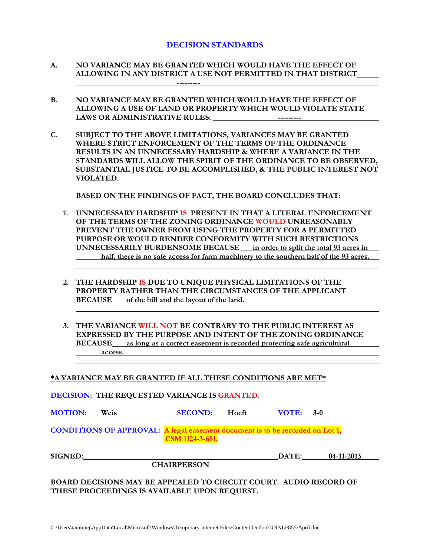#### **DECISION STANDARDS**

- **A. NO VARIANCE MAY BE GRANTED WHICH WOULD HAVE THE EFFECT OF ALLOWING IN ANY DISTRICT A USE NOT PERMITTED IN THAT DISTRICT ---------**
- **B. NO VARIANCE MAY BE GRANTED WHICH WOULD HAVE THE EFFECT OF ALLOWING A USE OF LAND OR PROPERTY WHICH WOULD VIOLATE STATE LAWS OR ADMINISTRATIVE RULES: ---------**
- **C. SUBJECT TO THE ABOVE LIMITATIONS, VARIANCES MAY BE GRANTED WHERE STRICT ENFORCEMENT OF THE TERMS OF THE ORDINANCE RESULTS IN AN UNNECESSARY HARDSHIP & WHERE A VARIANCE IN THE STANDARDS WILL ALLOW THE SPIRIT OF THE ORDINANCE TO BE OBSERVED, SUBSTANTIAL JUSTICE TO BE ACCOMPLISHED, & THE PUBLIC INTEREST NOT VIOLATED.**

**BASED ON THE FINDINGS OF FACT, THE BOARD CONCLUDES THAT:**

- **1. UNNECESSARY HARDSHIP IS PRESENT IN THAT A LITERAL ENFORCEMENT OF THE TERMS OF THE ZONING ORDINANCE WOULD UNREASONABLY PREVENT THE OWNER FROM USING THE PROPERTY FOR A PERMITTED PURPOSE OR WOULD RENDER CONFORMITY WITH SUCH RESTRICTIONS UNNECESSARILY BURDENSOME BECAUSE in order to split the total 93 acres in half, there is no safe access for farm machinery to the southern half of the 93 acres.**
- **2. THE HARDSHIP IS DUE TO UNIQUE PHYSICAL LIMITATIONS OF THE PROPERTY RATHER THAN THE CIRCUMSTANCES OF THE APPLICANT BECAUSE of the hill and the layout of the land.**
- **3. THE VARIANCE WILL NOT BE CONTRARY TO THE PUBLIC INTEREST AS EXPRESSED BY THE PURPOSE AND INTENT OF THE ZONING ORDINANCE BECAUSE as long as a correct easement is recorded protecting safe agricultural access.**

**\*A VARIANCE MAY BE GRANTED IF ALL THESE CONDITIONS ARE MET\***

**DECISION: THE REQUESTED VARIANCE IS GRANTED.**

| <u>DECISION, THE REQUESTED, TRAIN TOP TO CREATED!</u> |                                                                               |                    |       |             |            |  |
|-------------------------------------------------------|-------------------------------------------------------------------------------|--------------------|-------|-------------|------------|--|
| <b>MOTION:</b>                                        | Weis                                                                          | <b>SECOND:</b>     | Hoeft | $VOTE: 3-0$ |            |  |
|                                                       | CONDITIONS OF APPROVAL: A legal easement document is to be recorded on Lot 1, | CSM 1124-3-681.    |       |             |            |  |
| <b>SIGNED:</b>                                        |                                                                               |                    |       | DATE:       | 04-11-2013 |  |
|                                                       |                                                                               | <b>CHAIRPERSON</b> |       |             |            |  |
|                                                       | <b>DO LDD DECICIONS MAY BE ADDEALED TO CIDCUIT COUDT.</b> AUDIO BECODD OF     |                    |       |             |            |  |

**BOARD DECISIONS MAY BE APPEALED TO CIRCUIT COURT. AUDIO RECORD OF THESE PROCEEDINGS IS AVAILABLE UPON REQUEST.**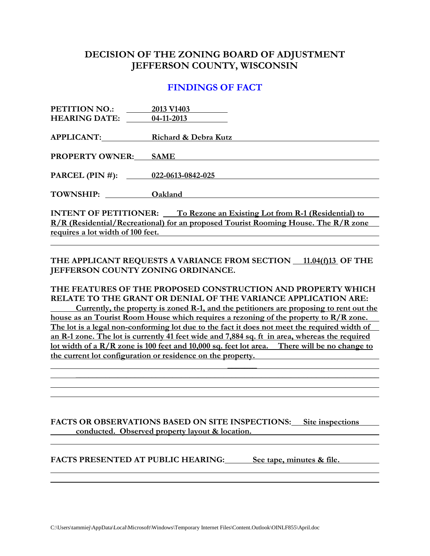### **DECISION OF THE ZONING BOARD OF ADJUSTMENT JEFFERSON COUNTY, WISCONSIN**

#### **FINDINGS OF FACT**

| <b>PETITION NO.:</b>              | 2013 V1403                                                                         |
|-----------------------------------|------------------------------------------------------------------------------------|
| <b>HEARING DATE:</b> 04-11-2013   |                                                                                    |
| APPLICANT:                        | Richard & Debra Kutz                                                               |
|                                   |                                                                                    |
| <b>PROPERTY OWNER:</b>            | <b>SAME</b>                                                                        |
| PARCEL (PIN #): 022-0613-0842-025 |                                                                                    |
|                                   |                                                                                    |
| TOWNSHIP:                         | Oakland                                                                            |
|                                   | <b>INTENT OF PETITIONER:</b> To Rezone an Existing Lot from R-1 (Residential) to   |
|                                   | R/R (Residential/Recreational) for an proposed Tourist Rooming House. The R/R zone |

**requires a lot width of 100 feet.**

THE APPLICANT REQUESTS A VARIANCE FROM SECTION 11.04(f)13 OF THE **JEFFERSON COUNTY ZONING ORDINANCE.**

**THE FEATURES OF THE PROPOSED CONSTRUCTION AND PROPERTY WHICH RELATE TO THE GRANT OR DENIAL OF THE VARIANCE APPLICATION ARE:**

**Currently, the property is zoned R-1, and the petitioners are proposing to rent out the house as an Tourist Room House which requires a rezoning of the property to R/R zone. The lot is a legal non-conforming lot due to the fact it does not meet the required width of an R-1 zone. The lot is currently 41 feet wide and 7,884 sq. ft in area, whereas the required lot width of a R/R zone is 100 feet and 10,000 sq. feet lot area. There will be no change to the current lot configuration or residence on the property.** 

**\_\_\_\_\_\_\_ \_\_\_\_\_\_\_\_\_\_\_\_\_\_\_\_\_\_\_\_\_\_\_\_\_\_\_\_\_\_\_\_\_\_\_\_\_\_\_\_\_\_\_\_\_\_\_\_\_\_\_\_\_\_\_\_\_\_\_\_\_\_\_\_\_\_\_\_\_\_\_\_**

**FACTS OR OBSERVATIONS BASED ON SITE INSPECTIONS: Site inspections conducted. Observed property layout & location.** 

**FACTS PRESENTED AT PUBLIC HEARING: See tape, minutes & file.**